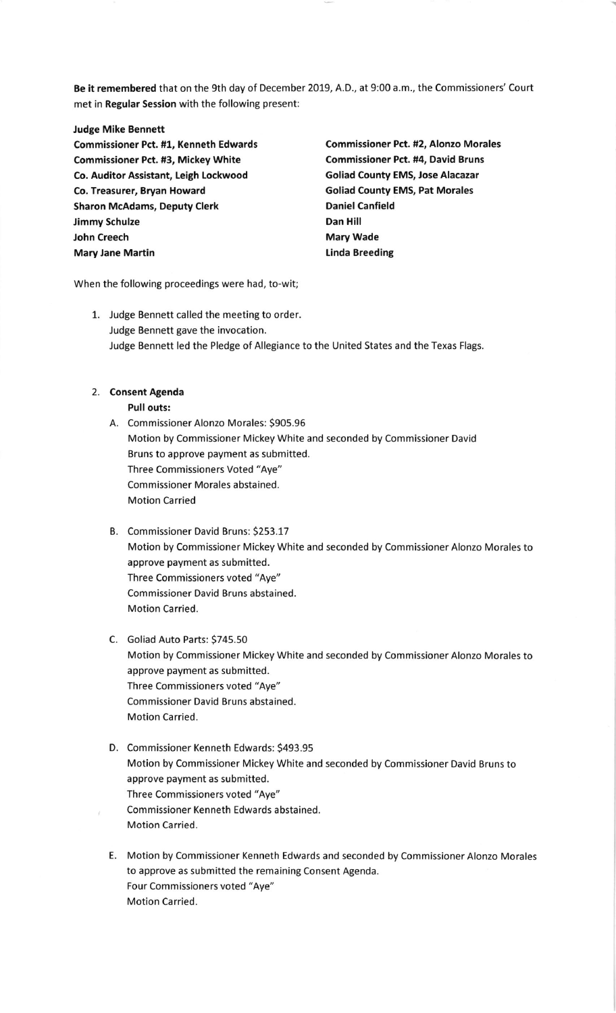Be it remembered that on the gth day of December 2019, A.D., at 9:00 a.m., the Commissioners' Court met in Regular Session with the following present:

Judge Mike Bennett commissioner Pct. #1, Kenneth Edwards Commissioner Pct. #2, Alonzo Morales Commissioner Pct. #3, Mickey White Commissioner Pct. #4, David Bruns Co. Auditor Assistant, Leigh Lockwood Goliad County EMS, Jose Alacazar Co. Treasurer, Bryan Howard Goliad County EMS, Pat Morales Sharon McAdams, Deputy Clerk **Daniel Canfield** Jimmy Schulze **Dan Hill** John Creech **Mary Wade** Mary Jane Martin **Marting Communist Communist Communist Communist Communist Communist Communist Communist Communist Communist Communist Communist Communist Communist Communist Communist Communist Communist Communist Commun** 

When the following proceedings were had, to-wit;

1. Judge Bennett called the meeting to order. Judge Bennett gave the invocation. Judge Bennett led the Pledge of Allegiance to the United States and the Texas Flags.

## 2. Consent Agenda

Pull outs:

- A. Commissioner Alonzo Morales: 5905.96 Motion by Commissioner Mickey White and seconded by Commissioner David Bruns to approve payment as submitted. Three Commissioners Voted "Aye" commissioner Morales abstained. Motion Carried
- B. Commissioner David Bruns: 5253.17 Motion by Commissioner Mickey White and seconded by Commissioner Alonzo Morales to approve payment as submitted. Three Commissioners voted "Aye" Commissioner David Bruns abstained. Motion Carried.
- C. Goliad Auto Parts: 5745.50 Motion by Commissioner Mickey White and seconded by Commissioner Alonzo Morales to approve payment as submitted. Three Commissioners voted "Aye" Commissioner David Bruns abstained. Motion Carried.
- D. Commissioner Kenneth Edwards: 5493.95 Motion by Commissioner Mickey White and seconded by Commissioner David Bruns to approve payment as submitted. Three Commissioners voted "Aye" Commissioner Kenneth Edwards abstained. Motion Carried.
- E. Motion by Commissioner Kenneth Edwards and seconded by Commissioner Alonzo Morales to approve as submitted the remaining Consent Agenda. Four Commissioners voted "Aye" Motion Carried.